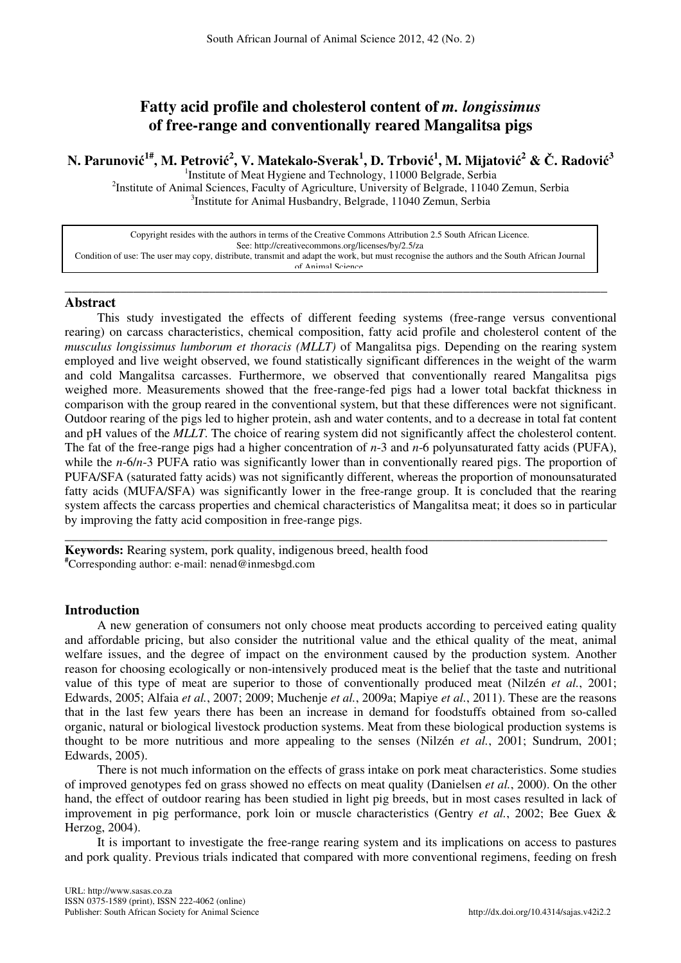# **Fatty acid profile and cholesterol content of** *m. longissimus* **of free-range and conventionally reared Mangalitsa pigs**

# N. Parunović<sup>1#</sup>, M. Petrović<sup>2</sup>, V. Matekalo-Sverak<sup>1</sup>, D. Trbović<sup>1</sup>, M. Mijatović<sup>2</sup> & Č. Radović<sup>3</sup>

<sup>1</sup>Institute of Meat Hygiene and Technology, 11000 Belgrade, Serbia <sup>2</sup>Institute of Animal Sciences, Faculty of Agriculture, University of Belgrade, 11040 Zemun, Serbia <sup>3</sup>Institute for Animal Husbandry, Belgrade, 11040 Zemun, Serbia

Copyright resides with the authors in terms of the Creative Commons Attribution 2.5 South African Licence. See: http://creativecommons.org/licenses/by/2.5/za Condition of use: The user may copy, distribute, transmit and adapt the work, but must recognise the authors and the South African Journal of Animal Science.

\_\_\_\_\_\_\_\_\_\_\_\_\_\_\_\_\_\_\_\_\_\_\_\_\_\_\_\_\_\_\_\_\_\_\_\_\_\_\_\_\_\_\_\_\_\_\_\_\_\_\_\_\_\_\_\_\_\_\_\_\_\_\_\_\_\_\_\_\_\_\_\_\_\_\_\_\_\_\_

## **Abstract**

This study investigated the effects of different feeding systems (free-range versus conventional rearing) on carcass characteristics, chemical composition, fatty acid profile and cholesterol content of the *musculus longissimus lumborum et thoracis (MLLT)* of Mangalitsa pigs. Depending on the rearing system employed and live weight observed, we found statistically significant differences in the weight of the warm and cold Mangalitsa carcasses. Furthermore, we observed that conventionally reared Mangalitsa pigs weighed more. Measurements showed that the free-range-fed pigs had a lower total backfat thickness in comparison with the group reared in the conventional system, but that these differences were not significant. Outdoor rearing of the pigs led to higher protein, ash and water contents, and to a decrease in total fat content and pH values of the *MLLT*. The choice of rearing system did not significantly affect the cholesterol content. The fat of the free-range pigs had a higher concentration of *n*-3 and *n*-6 polyunsaturated fatty acids (PUFA), while the *n*-6/*n*-3 PUFA ratio was significantly lower than in conventionally reared pigs. The proportion of PUFA/SFA (saturated fatty acids) was not significantly different, whereas the proportion of monounsaturated fatty acids (MUFA/SFA) was significantly lower in the free-range group. It is concluded that the rearing system affects the carcass properties and chemical characteristics of Mangalitsa meat; it does so in particular by improving the fatty acid composition in free-range pigs.

\_\_\_\_\_\_\_\_\_\_\_\_\_\_\_\_\_\_\_\_\_\_\_\_\_\_\_\_\_\_\_\_\_\_\_\_\_\_\_\_\_\_\_\_\_\_\_\_\_\_\_\_\_\_\_\_\_\_\_\_\_\_\_\_\_\_\_\_\_\_\_\_\_\_\_\_\_\_\_

**Keywords:** Rearing system, pork quality, indigenous breed, health food **#**Corresponding author: e-mail: nenad@inmesbgd.com

## **Introduction**

A new generation of consumers not only choose meat products according to perceived eating quality and affordable pricing, but also consider the nutritional value and the ethical quality of the meat, animal welfare issues, and the degree of impact on the environment caused by the production system. Another reason for choosing ecologically or non-intensively produced meat is the belief that the taste and nutritional value of this type of meat are superior to those of conventionally produced meat (Nilzén *et al.*, 2001; Edwards, 2005; Alfaia *et al.*, 2007; 2009; Muchenje *et al.*, 2009a; Mapiye *et al.*, 2011). These are the reasons that in the last few years there has been an increase in demand for foodstuffs obtained from so-called organic, natural or biological livestock production systems. Meat from these biological production systems is thought to be more nutritious and more appealing to the senses (Nilzén *et al.*, 2001; Sundrum, 2001; Edwards, 2005).

There is not much information on the effects of grass intake on pork meat characteristics. Some studies of improved genotypes fed on grass showed no effects on meat quality (Danielsen *et al.*, 2000). On the other hand, the effect of outdoor rearing has been studied in light pig breeds, but in most cases resulted in lack of improvement in pig performance, pork loin or muscle characteristics (Gentry *et al.*, 2002; Bee Guex & Herzog, 2004).

It is important to investigate the free-range rearing system and its implications on access to pastures and pork quality. Previous trials indicated that compared with more conventional regimens, feeding on fresh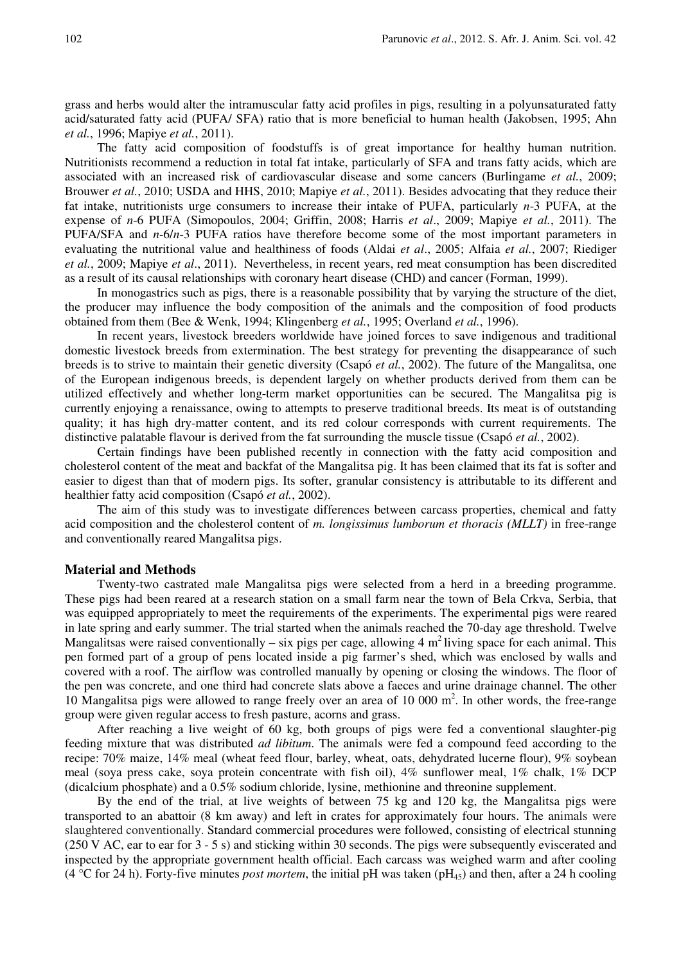grass and herbs would alter the intramuscular fatty acid profiles in pigs, resulting in a polyunsaturated fatty acid/saturated fatty acid (PUFA/ SFA) ratio that is more beneficial to human health (Jakobsen, 1995; Ahn *et al.*, 1996; Mapiye *et al.*, 2011).

The fatty acid composition of foodstuffs is of great importance for healthy human nutrition. Nutritionists recommend a reduction in total fat intake, particularly of SFA and trans fatty acids, which are associated with an increased risk of cardiovascular disease and some cancers (Burlingame *et al.*, 2009; Brouwer *et al.*, 2010; USDA and HHS, 2010; Mapiye *et al.*, 2011). Besides advocating that they reduce their fat intake, nutritionists urge consumers to increase their intake of PUFA, particularly *n*-3 PUFA, at the expense of *n*-6 PUFA (Simopoulos, 2004; Griffin, 2008; Harris *et al*., 2009; Mapiye *et al.*, 2011). The PUFA/SFA and *n*-6/*n*-3 PUFA ratios have therefore become some of the most important parameters in evaluating the nutritional value and healthiness of foods (Aldai *et al*., 2005; Alfaia *et al.*, 2007; Riediger *et al.*, 2009; Mapiye *et al*., 2011). Nevertheless, in recent years, red meat consumption has been discredited as a result of its causal relationships with coronary heart disease (CHD) and cancer (Forman, 1999).

In monogastrics such as pigs, there is a reasonable possibility that by varying the structure of the diet, the producer may influence the body composition of the animals and the composition of food products obtained from them (Bee & Wenk, 1994; Klingenberg *et al.*, 1995; Overland *et al.*, 1996).

In recent years, livestock breeders worldwide have joined forces to save indigenous and traditional domestic livestock breeds from extermination. The best strategy for preventing the disappearance of such breeds is to strive to maintain their genetic diversity (Csapó *et al.*, 2002). The future of the Mangalitsa, one of the European indigenous breeds, is dependent largely on whether products derived from them can be utilized effectively and whether long-term market opportunities can be secured. The Mangalitsa pig is currently enjoying a renaissance, owing to attempts to preserve traditional breeds. Its meat is of outstanding quality; it has high dry-matter content, and its red colour corresponds with current requirements. The distinctive palatable flavour is derived from the fat surrounding the muscle tissue (Csapó *et al.*, 2002).

Certain findings have been published recently in connection with the fatty acid composition and cholesterol content of the meat and backfat of the Mangalitsa pig. It has been claimed that its fat is softer and easier to digest than that of modern pigs. Its softer, granular consistency is attributable to its different and healthier fatty acid composition (Csapó *et al.*, 2002).

The aim of this study was to investigate differences between carcass properties, chemical and fatty acid composition and the cholesterol content of *m. longissimus lumborum et thoracis (MLLT)* in free-range and conventionally reared Mangalitsa pigs.

## **Material and Methods**

Twenty-two castrated male Mangalitsa pigs were selected from a herd in a breeding programme. These pigs had been reared at a research station on a small farm near the town of Bela Crkva, Serbia, that was equipped appropriately to meet the requirements of the experiments. The experimental pigs were reared in late spring and early summer. The trial started when the animals reached the 70-day age threshold. Twelve Mangalitsas were raised conventionally – six pigs per cage, allowing 4  $m<sup>2</sup>$  living space for each animal. This pen formed part of a group of pens located inside a pig farmer's shed, which was enclosed by walls and covered with a roof. The airflow was controlled manually by opening or closing the windows. The floor of the pen was concrete, and one third had concrete slats above a faeces and urine drainage channel. The other 10 Mangalitsa pigs were allowed to range freely over an area of 10 000 m 2 . In other words, the free-range group were given regular access to fresh pasture, acorns and grass.

After reaching a live weight of 60 kg, both groups of pigs were fed a conventional slaughter-pig feeding mixture that was distributed *ad libitum*. The animals were fed a compound feed according to the recipe: 70% maize, 14% meal (wheat feed flour, barley, wheat, oats, dehydrated lucerne flour), 9% soybean meal (soya press cake, soya protein concentrate with fish oil), 4% sunflower meal, 1% chalk, 1% DCP (dicalcium phosphate) and a 0.5% sodium chloride, lysine, methionine and threonine supplement.

By the end of the trial, at live weights of between 75 kg and 120 kg, the Mangalitsa pigs were transported to an abattoir (8 km away) and left in crates for approximately four hours. The animals were slaughtered conventionally. Standard commercial procedures were followed, consisting of electrical stunning (250 V AC, ear to ear for 3 - 5 s) and sticking within 30 seconds. The pigs were subsequently eviscerated and inspected by the appropriate government health official. Each carcass was weighed warm and after cooling (4 °C for 24 h). Forty-five minutes *post mortem*, the initial pH was taken ( $pH_{45}$ ) and then, after a 24 h cooling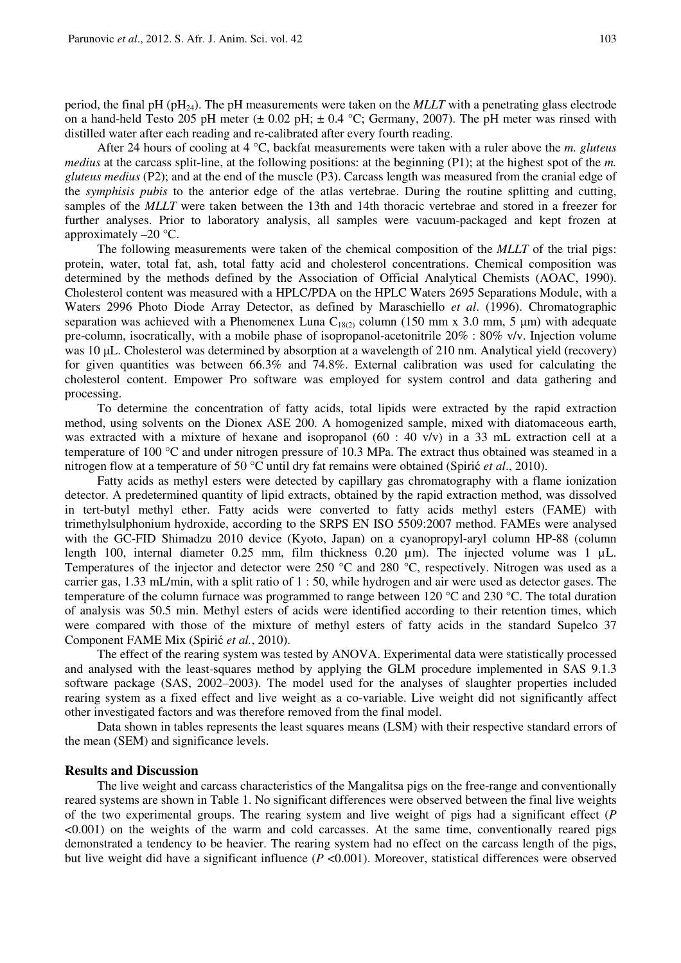period, the final pH ( $pH_{24}$ ). The pH measurements were taken on the *MLLT* with a penetrating glass electrode on a hand-held Testo 205 pH meter ( $\pm$  0.02 pH;  $\pm$  0.4 °C; Germany, 2007). The pH meter was rinsed with distilled water after each reading and re-calibrated after every fourth reading.

After 24 hours of cooling at 4 °C, backfat measurements were taken with a ruler above the *m. gluteus medius* at the carcass split-line, at the following positions: at the beginning (P1); at the highest spot of the *m. gluteus medius* (P2); and at the end of the muscle (P3). Carcass length was measured from the cranial edge of the *symphisis pubis* to the anterior edge of the atlas vertebrae. During the routine splitting and cutting, samples of the *MLLT* were taken between the 13th and 14th thoracic vertebrae and stored in a freezer for further analyses. Prior to laboratory analysis, all samples were vacuum-packaged and kept frozen at approximately  $-20$  °C.

The following measurements were taken of the chemical composition of the *MLLT* of the trial pigs: protein, water, total fat, ash, total fatty acid and cholesterol concentrations. Chemical composition was determined by the methods defined by the Association of Official Analytical Chemists (AOAC, 1990). Cholesterol content was measured with a HPLC/PDA on the HPLC Waters 2695 Separations Module, with a Waters 2996 Photo Diode Array Detector, as defined by Maraschiello *et al*. (1996). Chromatographic separation was achieved with a Phenomenex Luna C<sub>18(2)</sub> column (150 mm x 3.0 mm, 5  $\mu$ m) with adequate pre-column, isocratically, with a mobile phase of isopropanol-acetonitrile 20% : 80% v/v. Injection volume was 10 µL. Cholesterol was determined by absorption at a wavelength of 210 nm. Analytical yield (recovery) for given quantities was between 66.3% and 74.8%. External calibration was used for calculating the cholesterol content. Empower Pro software was employed for system control and data gathering and processing.

To determine the concentration of fatty acids, total lipids were extracted by the rapid extraction method, using solvents on the Dionex ASE 200. A homogenized sample, mixed with diatomaceous earth, was extracted with a mixture of hexane and isopropanol  $(60 : 40 \text{ v/v})$  in a 33 mL extraction cell at a temperature of 100 °C and under nitrogen pressure of 10.3 MPa. The extract thus obtained was steamed in a nitrogen flow at a temperature of 50 °C until dry fat remains were obtained (Spiric *et al.*, 2010).

Fatty acids as methyl esters were detected by capillary gas chromatography with a flame ionization detector. A predetermined quantity of lipid extracts, obtained by the rapid extraction method, was dissolved in tert-butyl methyl ether. Fatty acids were converted to fatty acids methyl esters (FAME) with trimethylsulphonium hydroxide, according to the SRPS EN ISO 5509:2007 method. FAMEs were analysed with the GC-FID Shimadzu 2010 device (Kyoto, Japan) on a cyanopropyl-aryl column HP-88 (column length 100, internal diameter 0.25 mm, film thickness 0.20  $\mu$ m). The injected volume was 1  $\mu$ L. Temperatures of the injector and detector were 250 °C and 280 °C, respectively. Nitrogen was used as a carrier gas, 1.33 mL/min, with a split ratio of 1 : 50, while hydrogen and air were used as detector gases. The temperature of the column furnace was programmed to range between 120  $^{\circ}$ C and 230  $^{\circ}$ C. The total duration of analysis was 50.5 min. Methyl esters of acids were identified according to their retention times, which were compared with those of the mixture of methyl esters of fatty acids in the standard Supelco 37 Component FAME Mix (Spiric *et al.*, 2010).

The effect of the rearing system was tested by ANOVA. Experimental data were statistically processed and analysed with the least-squares method by applying the GLM procedure implemented in SAS 9.1.3 software package (SAS, 2002–2003). The model used for the analyses of slaughter properties included rearing system as a fixed effect and live weight as a co-variable. Live weight did not significantly affect other investigated factors and was therefore removed from the final model.

Data shown in tables represents the least squares means (LSM) with their respective standard errors of the mean (SEM) and significance levels.

### **Results and Discussion**

The live weight and carcass characteristics of the Mangalitsa pigs on the free-range and conventionally reared systems are shown in Table 1. No significant differences were observed between the final live weights of the two experimental groups. The rearing system and live weight of pigs had a significant effect (*P* <0.001) on the weights of the warm and cold carcasses. At the same time, conventionally reared pigs demonstrated a tendency to be heavier. The rearing system had no effect on the carcass length of the pigs, but live weight did have a significant influence (*P* <0.001). Moreover, statistical differences were observed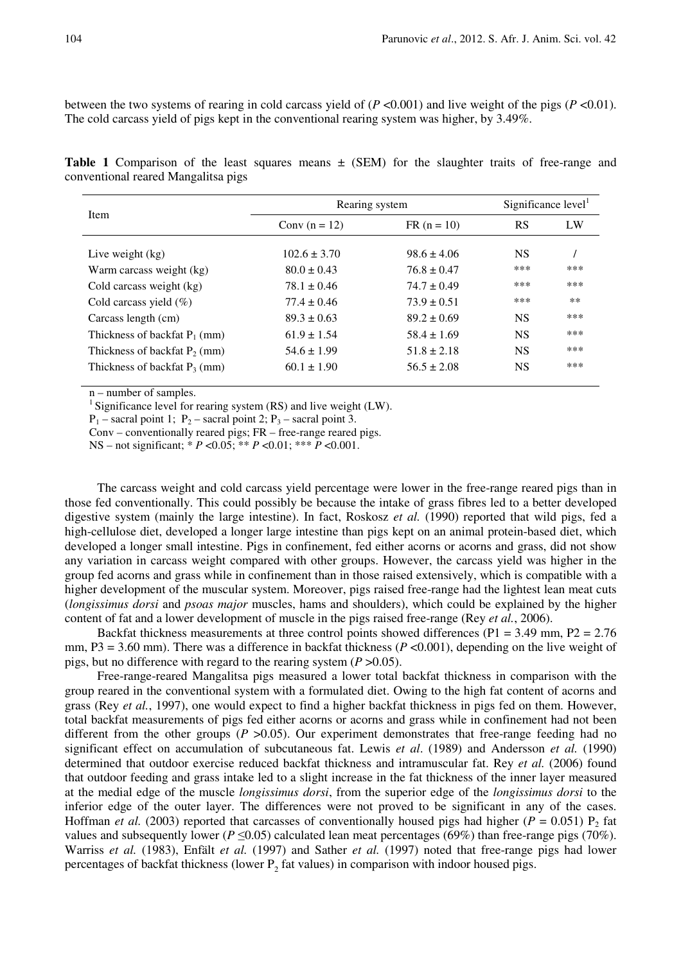between the two systems of rearing in cold carcass yield of  $(P \le 0.001)$  and live weight of the pigs  $(P \le 0.01)$ . The cold carcass yield of pigs kept in the conventional rearing system was higher, by 3.49%.

**Table 1** Comparison of the least squares means ± (SEM) for the slaughter traits of free-range and conventional reared Mangalitsa pigs

| Item                            | Rearing system   |                 | Significance level |       |
|---------------------------------|------------------|-----------------|--------------------|-------|
|                                 | Conv $(n = 12)$  | $FR (n = 10)$   | <b>RS</b>          | LW    |
| Live weight $(kg)$              | $102.6 \pm 3.70$ | $98.6 + 4.06$   | <b>NS</b>          |       |
| Warm carcass weight (kg)        | $80.0 \pm 0.43$  | $76.8 \pm 0.47$ | ***                | ***   |
| Cold carcass weight (kg)        | $78.1 \pm 0.46$  | $74.7 \pm 0.49$ | ***                | ***   |
| Cold carcass yield $(\%)$       | $77.4 \pm 0.46$  | $73.9 \pm 0.51$ | ***                | $***$ |
| Carcass length (cm)             | $89.3 \pm 0.63$  | $89.2 \pm 0.69$ | <b>NS</b>          | ***   |
| Thickness of backfat $P_1$ (mm) | $61.9 \pm 1.54$  | $58.4 \pm 1.69$ | <b>NS</b>          | ***   |
| Thickness of backfat $P_2$ (mm) | $54.6 \pm 1.99$  | $51.8 \pm 2.18$ | <b>NS</b>          | ***   |
| Thickness of backfat $P_3$ (mm) | $60.1 \pm 1.90$  | $56.5 \pm 2.08$ | <b>NS</b>          | ***   |

n – number of samples.

<sup>1</sup> Significance level for rearing system (RS) and live weight (LW).

 $P_1$  – sacral point 1;  $P_2$  – sacral point 2;  $P_3$  – sacral point 3.

Conv – conventionally reared pigs; FR – free-range reared pigs.

NS – not significant; \* *P* <0.05; \*\* *P* <0.01; \*\*\* *P* <0.001.

The carcass weight and cold carcass yield percentage were lower in the free-range reared pigs than in those fed conventionally. This could possibly be because the intake of grass fibres led to a better developed digestive system (mainly the large intestine). In fact, Roskosz *et al.* (1990) reported that wild pigs, fed a high-cellulose diet, developed a longer large intestine than pigs kept on an animal protein-based diet, which developed a longer small intestine. Pigs in confinement, fed either acorns or acorns and grass, did not show any variation in carcass weight compared with other groups. However, the carcass yield was higher in the group fed acorns and grass while in confinement than in those raised extensively, which is compatible with a higher development of the muscular system. Moreover, pigs raised free-range had the lightest lean meat cuts (*longissimus dorsi* and *psoas major* muscles, hams and shoulders), which could be explained by the higher content of fat and a lower development of muscle in the pigs raised free-range (Rey *et al.*, 2006).

Backfat thickness measurements at three control points showed differences ( $P1 = 3.49$  mm,  $P2 = 2.76$ ) mm, P3 = 3.60 mm). There was a difference in backfat thickness ( $P \le 0.001$ ), depending on the live weight of pigs, but no difference with regard to the rearing system  $(P > 0.05)$ .

Free-range-reared Mangalitsa pigs measured a lower total backfat thickness in comparison with the group reared in the conventional system with a formulated diet. Owing to the high fat content of acorns and grass (Rey *et al.*, 1997), one would expect to find a higher backfat thickness in pigs fed on them. However, total backfat measurements of pigs fed either acorns or acorns and grass while in confinement had not been different from the other groups  $(P > 0.05)$ . Our experiment demonstrates that free-range feeding had no significant effect on accumulation of subcutaneous fat. Lewis *et al*. (1989) and Andersson *et al.* (1990) determined that outdoor exercise reduced backfat thickness and intramuscular fat. Rey *et al.* (2006) found that outdoor feeding and grass intake led to a slight increase in the fat thickness of the inner layer measured at the medial edge of the muscle *longissimus dorsi*, from the superior edge of the *longissimus dorsi* to the inferior edge of the outer layer. The differences were not proved to be significant in any of the cases. Hoffman *et al.* (2003) reported that carcasses of conventionally housed pigs had higher ( $P = 0.051$ ) P<sub>2</sub> fat values and subsequently lower ( $P \le 0.05$ ) calculated lean meat percentages (69%) than free-range pigs (70%). Warriss *et al.* (1983), Enfält *et al.* (1997) and Sather *et al.* (1997) noted that free-range pigs had lower percentages of backfat thickness (lower  $P_2$  fat values) in comparison with indoor housed pigs.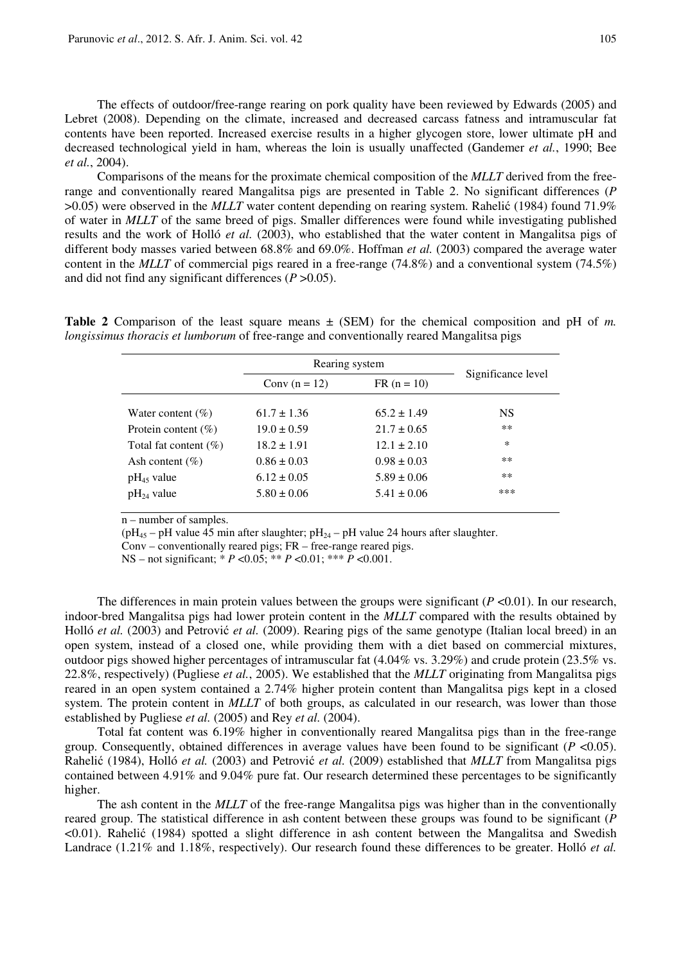The effects of outdoor/free-range rearing on pork quality have been reviewed by Edwards (2005) and Lebret (2008). Depending on the climate, increased and decreased carcass fatness and intramuscular fat contents have been reported. Increased exercise results in a higher glycogen store, lower ultimate pH and decreased technological yield in ham, whereas the loin is usually unaffected (Gandemer *et al.*, 1990; Bee *et al.*, 2004).

Comparisons of the means for the proximate chemical composition of the *MLLT* derived from the freerange and conventionally reared Mangalitsa pigs are presented in Table 2. No significant differences (*P*  $>0.05$ ) were observed in the *MLLT* water content depending on rearing system. Rahelic (1984) found 71.9% of water in *MLLT* of the same breed of pigs. Smaller differences were found while investigating published results and the work of Holló *et al.* (2003), who established that the water content in Mangalitsa pigs of different body masses varied between 68.8% and 69.0%. Hoffman *et al.* (2003) compared the average water content in the *MLLT* of commercial pigs reared in a free-range (74.8%) and a conventional system (74.5%) and did not find any significant differences (*P* >0.05).

**Table 2** Comparison of the least square means  $\pm$  (SEM) for the chemical composition and pH of *m*. *longissimus thoracis et lumborum* of free-range and conventionally reared Mangalitsa pigs

|                          | Rearing system  |                 |                    |
|--------------------------|-----------------|-----------------|--------------------|
|                          | Conv $(n = 12)$ | $FR (n = 10)$   | Significance level |
| Water content $(\% )$    | $61.7 \pm 1.36$ | $65.2 \pm 1.49$ | <b>NS</b>          |
| Protein content $(\% )$  | $19.0 \pm 0.59$ | $21.7 \pm 0.65$ | $***$              |
| Total fat content $(\%)$ | $18.2 \pm 1.91$ | $12.1 \pm 2.10$ | *                  |
| Ash content $(\% )$      | $0.86 \pm 0.03$ | $0.98 \pm 0.03$ | **                 |
| $pH_{45}$ value          | $6.12 \pm 0.05$ | $5.89 \pm 0.06$ | **                 |
| $pH_{24}$ value          | $5.80 \pm 0.06$ | $5.41 \pm 0.06$ | ***                |

 $n$  – number of samples.

( $pH_{45}$  –  $pH$  value 45 min after slaughter;  $pH_{24}$  –  $pH$  value 24 hours after slaughter.

Conv – conventionally reared pigs; FR – free-range reared pigs.

NS – not significant; \* *P* <0.05; \*\* *P* <0.01; \*\*\* *P* <0.001.

The differences in main protein values between the groups were significant  $(P < 0.01)$ . In our research, indoor-bred Mangalitsa pigs had lower protein content in the *MLLT* compared with the results obtained by Holló *et al.* (2003) and Petrović *et al.* (2009). Rearing pigs of the same genotype (Italian local breed) in an open system, instead of a closed one, while providing them with a diet based on commercial mixtures, outdoor pigs showed higher percentages of intramuscular fat  $(4.04\% \text{ vs. } 3.29\%)$  and crude protein  $(23.5\% \text{ vs. } 3.29\%)$ 22.8%, respectively) (Pugliese *et al.*, 2005). We established that the *MLLT* originating from Mangalitsa pigs reared in an open system contained a 2.74% higher protein content than Mangalitsa pigs kept in a closed system. The protein content in *MLLT* of both groups, as calculated in our research, was lower than those established by Pugliese *et al.* (2005) and Rey *et al.* (2004).

Total fat content was 6.19% higher in conventionally reared Mangalitsa pigs than in the free-range group. Consequently, obtained differences in average values have been found to be significant (*P* <0.05). Rahelić (1984), Holló *et al.* (2003) and Petrović *et al.* (2009) established that *MLLT* from Mangalitsa pigs contained between 4.91% and 9.04% pure fat. Our research determined these percentages to be significantly higher.

The ash content in the *MLLT* of the free-range Mangalitsa pigs was higher than in the conventionally reared group. The statistical difference in ash content between these groups was found to be significant (*P*  $\leq$ 0.01). Rahelić (1984) spotted a slight difference in ash content between the Mangalitsa and Swedish Landrace (1.21% and 1.18%, respectively). Our research found these differences to be greater. Holló *et al.*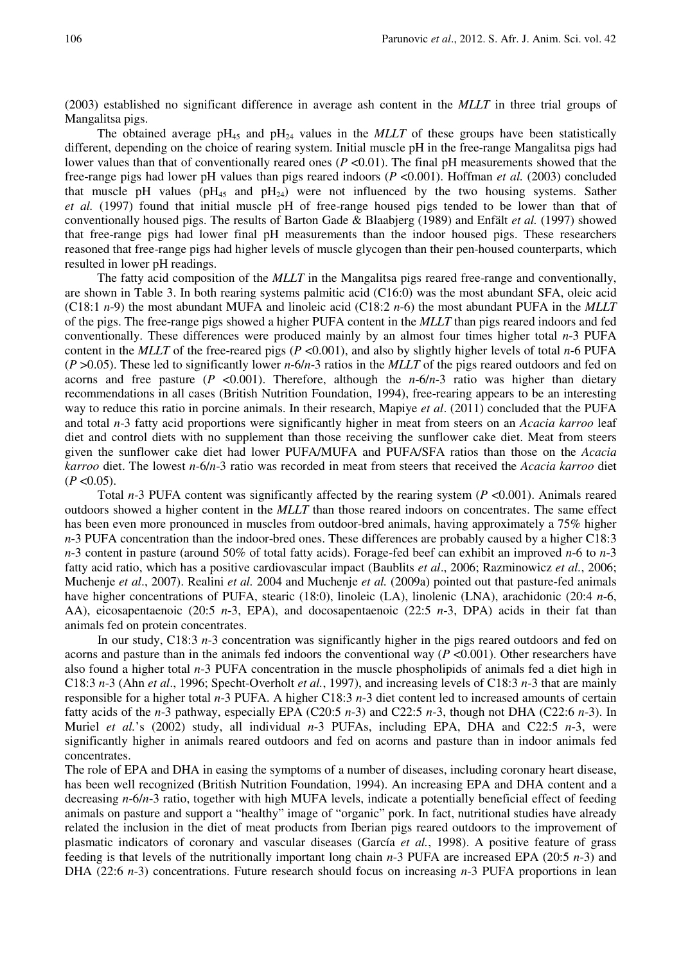(2003) established no significant difference in average ash content in the *MLLT* in three trial groups of Mangalitsa pigs.

The obtained average  $pH_{45}$  and  $pH_{24}$  values in the *MLLT* of these groups have been statistically different, depending on the choice of rearing system. Initial muscle pH in the free-range Mangalitsa pigs had lower values than that of conventionally reared ones (*P* <0.01). The final pH measurements showed that the free-range pigs had lower pH values than pigs reared indoors (*P* <0.001). Hoffman *et al.* (2003) concluded that muscle pH values ( $pH_{45}$  and  $pH_{24}$ ) were not influenced by the two housing systems. Sather *et al.* (1997) found that initial muscle pH of free-range housed pigs tended to be lower than that of conventionally housed pigs. The results of Barton Gade & Blaabjerg (1989) and Enfält *et al.* (1997) showed that free-range pigs had lower final pH measurements than the indoor housed pigs. These researchers reasoned that free-range pigs had higher levels of muscle glycogen than their pen-housed counterparts, which resulted in lower pH readings.

The fatty acid composition of the *MLLT* in the Mangalitsa pigs reared free-range and conventionally, are shown in Table 3. In both rearing systems palmitic acid (C16:0) was the most abundant SFA, oleic acid (C18:1 *n*-9) the most abundant MUFA and linoleic acid (C18:2 *n*-6) the most abundant PUFA in the *MLLT* of the pigs. The free-range pigs showed a higher PUFA content in the *MLLT* than pigs reared indoors and fed conventionally. These differences were produced mainly by an almost four times higher total *n*-3 PUFA content in the *MLLT* of the free-reared pigs (*P* <0.001), and also by slightly higher levels of total *n*-6 PUFA (*P* >0.05). These led to significantly lower *n*-6/*n*-3 ratios in the *MLLT* of the pigs reared outdoors and fed on acorns and free pasture  $(P \le 0.001)$ . Therefore, although the *n*-6/*n*-3 ratio was higher than dietary recommendations in all cases (British Nutrition Foundation, 1994), free-rearing appears to be an interesting way to reduce this ratio in porcine animals. In their research, Mapiye *et al*. (2011) concluded that the PUFA and total *n*-3 fatty acid proportions were significantly higher in meat from steers on an *Acacia karroo* leaf diet and control diets with no supplement than those receiving the sunflower cake diet. Meat from steers given the sunflower cake diet had lower PUFA/MUFA and PUFA/SFA ratios than those on the *Acacia karroo* diet. The lowest *n*-6/*n*-3 ratio was recorded in meat from steers that received the *Acacia karroo* diet  $(P<0.05)$ .

Total *n*-3 PUFA content was significantly affected by the rearing system (*P* <0.001). Animals reared outdoors showed a higher content in the *MLLT* than those reared indoors on concentrates. The same effect has been even more pronounced in muscles from outdoor-bred animals, having approximately a 75% higher *n*-3 PUFA concentration than the indoor-bred ones. These differences are probably caused by a higher C18:3 *n*-3 content in pasture (around 50% of total fatty acids). Forage-fed beef can exhibit an improved *n*-6 to *n*-3 fatty acid ratio, which has a positive cardiovascular impact (Baublits *et al*., 2006; Razminowicz *et al.*, 2006; Muchenje *et al*., 2007). Realini *et al.* 2004 and Muchenje *et al.* (2009a) pointed out that pasture-fed animals have higher concentrations of PUFA, stearic (18:0), linoleic (LA), linolenic (LNA), arachidonic (20:4 *n*-6, AA), eicosapentaenoic (20:5 *n*-3, EPA), and docosapentaenoic (22:5 *n*-3, DPA) acids in their fat than animals fed on protein concentrates.

In our study, C18:3 *n*-3 concentration was significantly higher in the pigs reared outdoors and fed on acorns and pasture than in the animals fed indoors the conventional way (*P* <0.001). Other researchers have also found a higher total *n*-3 PUFA concentration in the muscle phospholipids of animals fed a diet high in C18:3 *n*-3 (Ahn *et al*., 1996; Specht-Overholt *et al.*, 1997), and increasing levels of C18:3 *n*-3 that are mainly responsible for a higher total *n*-3 PUFA. A higher C18:3 *n*-3 diet content led to increased amounts of certain fatty acids of the *n*-3 pathway, especially EPA (C20:5 *n*-3) and C22:5 *n*-3, though not DHA (C22:6 *n*-3). In Muriel *et al.*'s (2002) study, all individual *n*-3 PUFAs, including EPA, DHA and C22:5 *n*-3, were significantly higher in animals reared outdoors and fed on acorns and pasture than in indoor animals fed concentrates.

The role of EPA and DHA in easing the symptoms of a number of diseases, including coronary heart disease, has been well recognized (British Nutrition Foundation, 1994). An increasing EPA and DHA content and a decreasing *n*-6/*n*-3 ratio, together with high MUFA levels, indicate a potentially beneficial effect of feeding animals on pasture and support a "healthy" image of "organic" pork. In fact, nutritional studies have already related the inclusion in the diet of meat products from Iberian pigs reared outdoors to the improvement of plasmatic indicators of coronary and vascular diseases (García *et al.*, 1998). A positive feature of grass feeding is that levels of the nutritionally important long chain *n*-3 PUFA are increased EPA (20:5 *n*-3) and DHA (22:6 *n*-3) concentrations. Future research should focus on increasing *n*-3 PUFA proportions in lean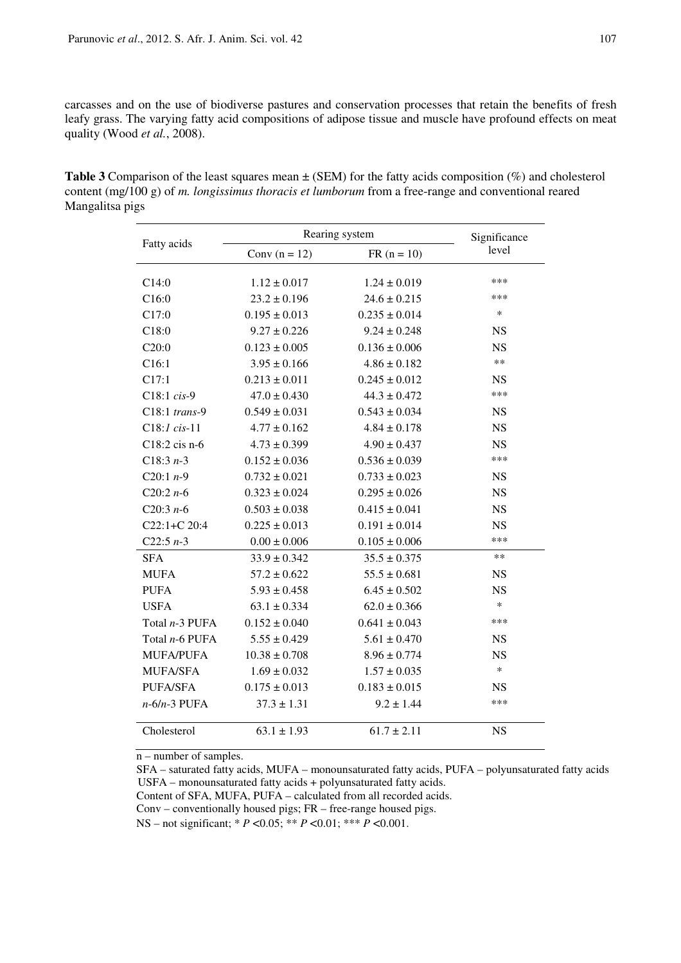carcasses and on the use of biodiverse pastures and conservation processes that retain the benefits of fresh leafy grass. The varying fatty acid compositions of adipose tissue and muscle have profound effects on meat quality (Wood *et al.*, 2008).

**Table 3** Comparison of the least squares mean ± (SEM) for the fatty acids composition (%) and cholesterol content (mg/100 g) of *m. longissimus thoracis et lumborum* from a free-range and conventional reared Mangalitsa pigs

|                  | Rearing system    | Significance      |           |
|------------------|-------------------|-------------------|-----------|
| Fatty acids      | Conv $(n = 12)$   | $FR (n = 10)$     | level     |
| C14:0            | $1.12 \pm 0.017$  | $1.24 \pm 0.019$  | ***       |
| C16:0            | $23.2 \pm 0.196$  | $24.6 \pm 0.215$  | ***       |
| C17:0            | $0.195 \pm 0.013$ | $0.235 \pm 0.014$ | $\ast$    |
| C18:0            | $9.27 \pm 0.226$  | $9.24 \pm 0.248$  | <b>NS</b> |
| C20:0            | $0.123 \pm 0.005$ | $0.136 \pm 0.006$ | <b>NS</b> |
| C16:1            | $3.95 \pm 0.166$  | $4.86 \pm 0.182$  | $**$      |
| C17:1            | $0.213 \pm 0.011$ | $0.245 \pm 0.012$ | <b>NS</b> |
| $C18:1 cis-9$    | $47.0 \pm 0.430$  | $44.3 \pm 0.472$  | ***       |
| C18:1 trans-9    | $0.549 \pm 0.031$ | $0.543 \pm 0.034$ | <b>NS</b> |
| $C18:1 cis-11$   | $4.77 \pm 0.162$  | $4.84 \pm 0.178$  | <b>NS</b> |
| $C18:2$ cis n-6  | $4.73 \pm 0.399$  | $4.90 \pm 0.437$  | <b>NS</b> |
| $C18:3n-3$       | $0.152 \pm 0.036$ | $0.536 \pm 0.039$ | ***       |
| C20:1 $n-9$      | $0.732 \pm 0.021$ | $0.733 \pm 0.023$ | <b>NS</b> |
| C20:2 $n-6$      | $0.323 \pm 0.024$ | $0.295 \pm 0.026$ | <b>NS</b> |
| C20:3 $n-6$      | $0.503 \pm 0.038$ | $0.415 \pm 0.041$ | <b>NS</b> |
| $C22:1+C20:4$    | $0.225 \pm 0.013$ | $0.191 \pm 0.014$ | <b>NS</b> |
| $C22:5n-3$       | $0.00 \pm 0.006$  | $0.105 \pm 0.006$ | ***       |
| <b>SFA</b>       | $33.9 \pm 0.342$  | $35.5 \pm 0.375$  | $**$      |
| <b>MUFA</b>      | $57.2 \pm 0.622$  | $55.5 \pm 0.681$  | <b>NS</b> |
| <b>PUFA</b>      | $5.93 \pm 0.458$  | $6.45 \pm 0.502$  | <b>NS</b> |
| <b>USFA</b>      | $63.1 \pm 0.334$  | $62.0 \pm 0.366$  | $\ast$    |
| Total n-3 PUFA   | $0.152 \pm 0.040$ | $0.641 \pm 0.043$ | ***       |
| Total n-6 PUFA   | $5.55 \pm 0.429$  | $5.61 \pm 0.470$  | <b>NS</b> |
| <b>MUFA/PUFA</b> | $10.38 \pm 0.708$ | $8.96 \pm 0.774$  | <b>NS</b> |
| <b>MUFA/SFA</b>  | $1.69 \pm 0.032$  | $1.57 \pm 0.035$  | $\ast$    |
| PUFA/SFA         | $0.175 \pm 0.013$ | $0.183 \pm 0.015$ | <b>NS</b> |
| $n-6/n-3$ PUFA   | $37.3 \pm 1.31$   | $9.2 \pm 1.44$    | ***       |
| Cholesterol      | $63.1 \pm 1.93$   | $61.7 \pm 2.11$   | <b>NS</b> |

 $n$  – number of samples.

SFA – saturated fatty acids, MUFA – monounsaturated fatty acids, PUFA – polyunsaturated fatty acids USFA – monounsaturated fatty acids + polyunsaturated fatty acids.

Content of SFA, MUFA, PUFA – calculated from all recorded acids.

Conv – conventionally housed pigs; FR – free-range housed pigs.

NS – not significant; \* *P* <0.05; \*\* *P* <0.01; \*\*\* *P* <0.001.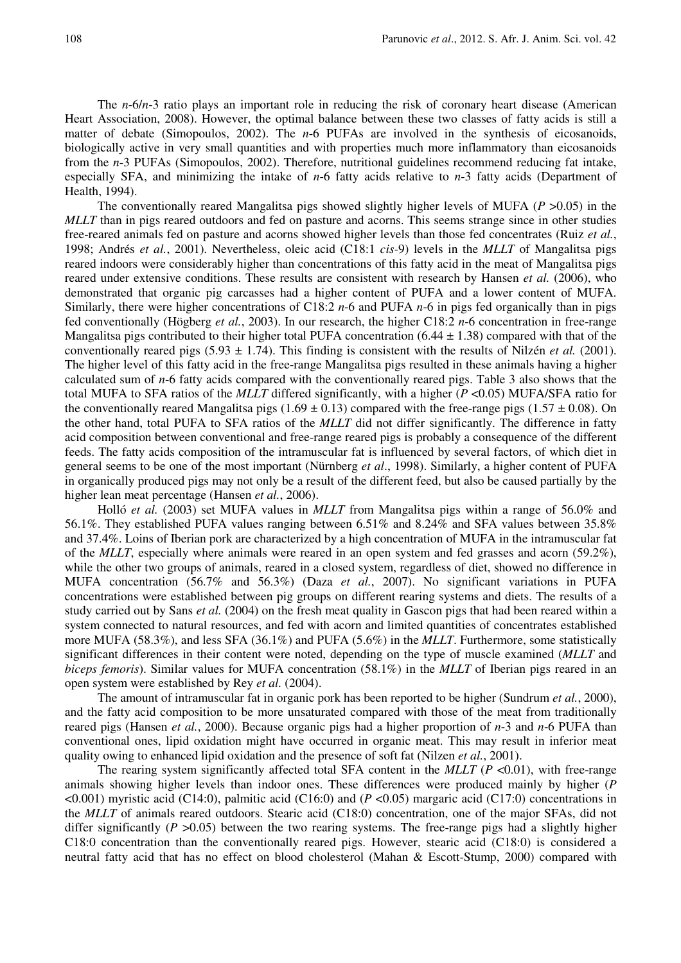The *n*-6/*n*-3 ratio plays an important role in reducing the risk of coronary heart disease (American Heart Association, 2008). However, the optimal balance between these two classes of fatty acids is still a matter of debate (Simopoulos, 2002). The *n*-6 PUFAs are involved in the synthesis of eicosanoids, biologically active in very small quantities and with properties much more inflammatory than eicosanoids from the *n*-3 PUFAs (Simopoulos, 2002). Therefore, nutritional guidelines recommend reducing fat intake, especially SFA, and minimizing the intake of *n*-6 fatty acids relative to *n*-3 fatty acids (Department of Health, 1994).

The conventionally reared Mangalitsa pigs showed slightly higher levels of MUFA (*P* >0.05) in the *MLLT* than in pigs reared outdoors and fed on pasture and acorns. This seems strange since in other studies free-reared animals fed on pasture and acorns showed higher levels than those fed concentrates (Ruiz *et al.*, 1998; Andrés *et al.*, 2001). Nevertheless, oleic acid (C18:1 *cis-*9) levels in the *MLLT* of Mangalitsa pigs reared indoors were considerably higher than concentrations of this fatty acid in the meat of Mangalitsa pigs reared under extensive conditions. These results are consistent with research by Hansen *et al.* (2006), who demonstrated that organic pig carcasses had a higher content of PUFA and a lower content of MUFA. Similarly, there were higher concentrations of C18:2 *n*-6 and PUFA *n*-6 in pigs fed organically than in pigs fed conventionally (Högberg *et al.*, 2003). In our research, the higher C18:2 *n*-6 concentration in free-range Mangalitsa pigs contributed to their higher total PUFA concentration  $(6.44 \pm 1.38)$  compared with that of the conventionally reared pigs  $(5.93 \pm 1.74)$ . This finding is consistent with the results of Nilzén *et al.* (2001). The higher level of this fatty acid in the free-range Mangalitsa pigs resulted in these animals having a higher calculated sum of *n*-6 fatty acids compared with the conventionally reared pigs. Table 3 also shows that the total MUFA to SFA ratios of the *MLLT* differed significantly, with a higher (*P* <0.05) MUFA/SFA ratio for the conventionally reared Mangalitsa pigs (1.69  $\pm$  0.13) compared with the free-range pigs (1.57  $\pm$  0.08). On the other hand, total PUFA to SFA ratios of the *MLLT* did not differ significantly. The difference in fatty acid composition between conventional and free-range reared pigs is probably a consequence of the different feeds. The fatty acids composition of the intramuscular fat is influenced by several factors, of which diet in general seems to be one of the most important (Nürnberg *et al*., 1998). Similarly, a higher content of PUFA in organically produced pigs may not only be a result of the different feed, but also be caused partially by the higher lean meat percentage (Hansen *et al.*, 2006).

Holló *et al.* (2003) set MUFA values in *MLLT* from Mangalitsa pigs within a range of 56.0% and 56.1%. They established PUFA values ranging between 6.51% and 8.24% and SFA values between 35.8% and 37.4%. Loins of Iberian pork are characterized by a high concentration of MUFA in the intramuscular fat of the *MLLT*, especially where animals were reared in an open system and fed grasses and acorn (59.2%), while the other two groups of animals, reared in a closed system, regardless of diet, showed no difference in MUFA concentration (56.7% and 56.3%) (Daza *et al.*, 2007). No significant variations in PUFA concentrations were established between pig groups on different rearing systems and diets. The results of a study carried out by Sans *et al.* (2004) on the fresh meat quality in Gascon pigs that had been reared within a system connected to natural resources, and fed with acorn and limited quantities of concentrates established more MUFA (58.3%), and less SFA (36.1%) and PUFA (5.6%) in the *MLLT*. Furthermore, some statistically significant differences in their content were noted, depending on the type of muscle examined (*MLLT* and *biceps femoris*). Similar values for MUFA concentration (58.1%) in the *MLLT* of Iberian pigs reared in an open system were established by Rey *et al.* (2004).

The amount of intramuscular fat in organic pork has been reported to be higher (Sundrum *et al.*, 2000), and the fatty acid composition to be more unsaturated compared with those of the meat from traditionally reared pigs (Hansen *et al.*, 2000). Because organic pigs had a higher proportion of *n*-3 and *n*-6 PUFA than conventional ones, lipid oxidation might have occurred in organic meat. This may result in inferior meat quality owing to enhanced lipid oxidation and the presence of soft fat (Nilzen *et al.*, 2001).

The rearing system significantly affected total SFA content in the *MLLT* (*P* <0.01), with free-range animals showing higher levels than indoor ones. These differences were produced mainly by higher (*P* <0.001) myristic acid (C14:0), palmitic acid (C16:0) and (*P* <0.05) margaric acid (C17:0) concentrations in the *MLLT* of animals reared outdoors. Stearic acid (C18:0) concentration, one of the major SFAs, did not differ significantly ( $P > 0.05$ ) between the two rearing systems. The free-range pigs had a slightly higher C18:0 concentration than the conventionally reared pigs. However, stearic acid (C18:0) is considered a neutral fatty acid that has no effect on blood cholesterol (Mahan & Escott-Stump, 2000) compared with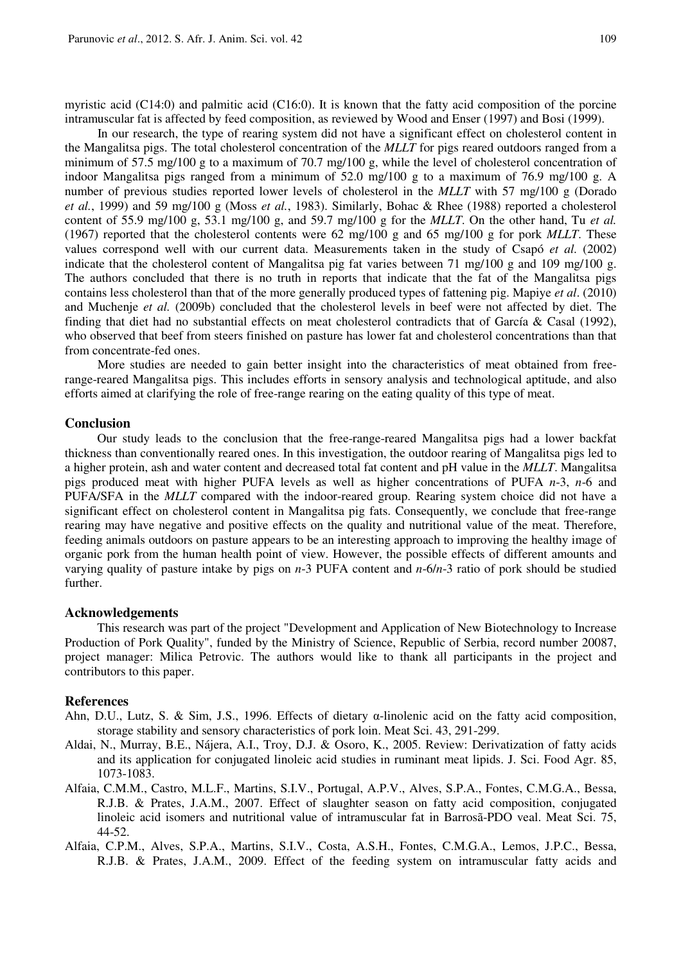myristic acid (C14:0) and palmitic acid (C16:0). It is known that the fatty acid composition of the porcine intramuscular fat is affected by feed composition, as reviewed by Wood and Enser (1997) and Bosi (1999).

In our research, the type of rearing system did not have a significant effect on cholesterol content in the Mangalitsa pigs. The total cholesterol concentration of the *MLLT* for pigs reared outdoors ranged from a minimum of 57.5 mg/100 g to a maximum of 70.7 mg/100 g, while the level of cholesterol concentration of indoor Mangalitsa pigs ranged from a minimum of 52.0 mg/100 g to a maximum of 76.9 mg/100 g. A number of previous studies reported lower levels of cholesterol in the *MLLT* with 57 mg/100 g (Dorado *et al.*, 1999) and 59 mg/100 g (Moss *et al.*, 1983). Similarly, Bohac & Rhee (1988) reported a cholesterol content of 55.9 mg/100 g, 53.1 mg/100 g, and 59.7 mg/100 g for the *MLLT*. On the other hand, Tu *et al.* (1967) reported that the cholesterol contents were 62 mg/100 g and 65 mg/100 g for pork *MLLT*. These values correspond well with our current data. Measurements taken in the study of Csapó *et al.* (2002) indicate that the cholesterol content of Mangalitsa pig fat varies between 71 mg/100 g and 109 mg/100 g. The authors concluded that there is no truth in reports that indicate that the fat of the Mangalitsa pigs contains less cholesterol than that of the more generally produced types of fattening pig. Mapiye *et al*. (2010) and Muchenje *et al.* (2009b) concluded that the cholesterol levels in beef were not affected by diet. The finding that diet had no substantial effects on meat cholesterol contradicts that of García & Casal (1992), who observed that beef from steers finished on pasture has lower fat and cholesterol concentrations than that from concentrate-fed ones.

More studies are needed to gain better insight into the characteristics of meat obtained from freerange-reared Mangalitsa pigs. This includes efforts in sensory analysis and technological aptitude, and also efforts aimed at clarifying the role of free-range rearing on the eating quality of this type of meat.

### **Conclusion**

Our study leads to the conclusion that the free-range-reared Mangalitsa pigs had a lower backfat thickness than conventionally reared ones. In this investigation, the outdoor rearing of Mangalitsa pigs led to a higher protein, ash and water content and decreased total fat content and pH value in the *MLLT*. Mangalitsa pigs produced meat with higher PUFA levels as well as higher concentrations of PUFA *n*-3, *n*-6 and PUFA/SFA in the *MLLT* compared with the indoor-reared group. Rearing system choice did not have a significant effect on cholesterol content in Mangalitsa pig fats. Consequently, we conclude that free-range rearing may have negative and positive effects on the quality and nutritional value of the meat. Therefore, feeding animals outdoors on pasture appears to be an interesting approach to improving the healthy image of organic pork from the human health point of view. However, the possible effects of different amounts and varying quality of pasture intake by pigs on *n*-3 PUFA content and *n*-6/*n*-3 ratio of pork should be studied further.

#### **Acknowledgements**

This research was part of the project "Development and Application of New Biotechnology to Increase Production of Pork Quality", funded by the Ministry of Science, Republic of Serbia, record number 20087, project manager: Milica Petrovic. The authors would like to thank all participants in the project and contributors to this paper.

#### **References**

- Ahn, D.U., Lutz, S. & Sim, J.S., 1996. Effects of dietary  $\alpha$ -linolenic acid on the fatty acid composition, storage stability and sensory characteristics of pork loin. Meat Sci. 43, 291-299.
- Aldai, N., Murray, B.E., Nájera, A.I., Troy, D.J. & Osoro, K., 2005. Review: Derivatization of fatty acids and its application for conjugated linoleic acid studies in ruminant meat lipids. J. Sci. Food Agr. 85, 1073-1083.
- Alfaia, C.M.M., Castro, M.L.F., Martins, S.I.V., Portugal, A.P.V., Alves, S.P.A., Fontes, C.M.G.A., Bessa, R.J.B. & Prates, J.A.M., 2007. Effect of slaughter season on fatty acid composition, conjugated linoleic acid isomers and nutritional value of intramuscular fat in Barrosã-PDO veal. Meat Sci. 75, 44-52.
- Alfaia, C.P.M., Alves, S.P.A., Martins, S.I.V., Costa, A.S.H., Fontes, C.M.G.A., Lemos, J.P.C., Bessa, R.J.B. & Prates, J.A.M., 2009. Effect of the feeding system on intramuscular fatty acids and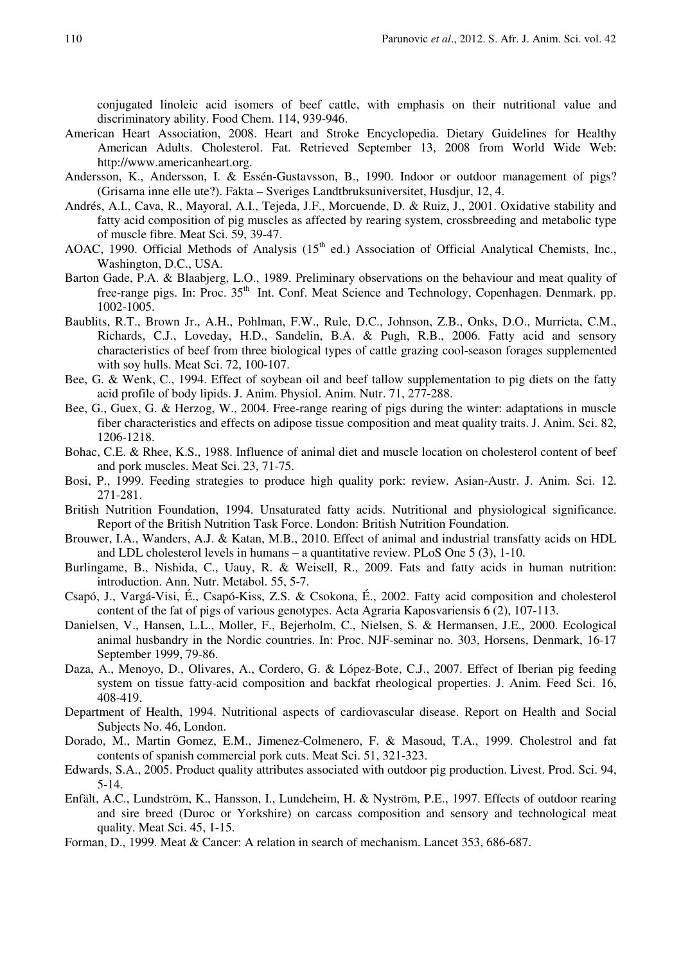conjugated linoleic acid isomers of beef cattle, with emphasis on their nutritional value and discriminatory ability. Food Chem. 114, 939-946.

- American Heart Association, 2008. Heart and Stroke Encyclopedia. Dietary Guidelines for Healthy American Adults. Cholesterol. Fat. Retrieved September 13, 2008 from World Wide Web: http://www.americanheart.org.
- Andersson, K., Andersson, I. & Essén-Gustavsson, B., 1990. Indoor or outdoor management of pigs? (Grisarna inne elle ute?). Fakta – Sveriges Landtbruksuniversitet, Husdjur, 12, 4.
- Andrés, A.I., Cava, R., Mayoral, A.I., Tejeda, J.F., Morcuende, D. & Ruiz, J., 2001. Oxidative stability and fatty acid composition of pig muscles as affected by rearing system, crossbreeding and metabolic type of muscle fibre. Meat Sci. 59, 39-47.
- AOAC, 1990. Official Methods of Analysis (15<sup>th</sup> ed.) Association of Official Analytical Chemists, Inc., Washington, D.C., USA.
- Barton Gade, P.A. & Blaabjerg, L.O., 1989. Preliminary observations on the behaviour and meat quality of free-range pigs. In: Proc. 35<sup>th</sup> Int. Conf. Meat Science and Technology, Copenhagen. Denmark. pp. 1002-1005.
- Baublits, R.T., Brown Jr., A.H., Pohlman, F.W., Rule, D.C., Johnson, Z.B., Onks, D.O., Murrieta, C.M., Richards, C.J., Loveday, H.D., Sandelin, B.A. & Pugh, R.B., 2006. Fatty acid and sensory characteristics of beef from three biological types of cattle grazing cool-season forages supplemented with soy hulls. Meat Sci. 72, 100-107.
- Bee, G. & Wenk, C., 1994. Effect of soybean oil and beef tallow supplementation to pig diets on the fatty acid profile of body lipids. J. Anim. Physiol. Anim. Nutr. 71, 277-288.
- Bee, G., Guex, G. & Herzog, W., 2004. Free-range rearing of pigs during the winter: adaptations in muscle fiber characteristics and effects on adipose tissue composition and meat quality traits. J. Anim. Sci. 82, 1206-1218.
- Bohac, C.E. & Rhee, K.S., 1988. Influence of animal diet and muscle location on cholesterol content of beef and pork muscles. Meat Sci. 23, 71-75.
- Bosi, P., 1999. Feeding strategies to produce high quality pork: review. Asian-Austr. J. Anim. Sci. 12. 271-281.
- British Nutrition Foundation, 1994. Unsaturated fatty acids. Nutritional and physiological significance. Report of the British Nutrition Task Force. London: British Nutrition Foundation.
- Brouwer, I.A., Wanders, A.J. & Katan, M.B., 2010. Effect of animal and industrial transfatty acids on HDL and LDL cholesterol levels in humans – a quantitative review. PLoS One 5 (3), 1-10.
- Burlingame, B., Nishida, C., Uauy, R. & Weisell, R., 2009. Fats and fatty acids in human nutrition: introduction. Ann. Nutr. Metabol. 55, 5-7.
- Csapó, J., Vargá-Visi, É., Csapó-Kiss, Z.S. & Csokona, É., 2002. Fatty acid composition and cholesterol content of the fat of pigs of various genotypes. Acta Agraria Kaposvariensis  $6(2)$ , 107-113.
- Danielsen, V., Hansen, L.L., Moller, F., Bejerholm, C., Nielsen, S. & Hermansen, J.E., 2000. Ecological animal husbandry in the Nordic countries. In: Proc. NJF-seminar no. 303, Horsens, Denmark, 16-17 September 1999, 79-86.
- Daza, A., Menoyo, D., Olivares, A., Cordero, G. & López-Bote, C.J., 2007. Effect of Iberian pig feeding system on tissue fatty-acid composition and backfat rheological properties. J. Anim. Feed Sci. 16, 408-419.
- Department of Health, 1994. Nutritional aspects of cardiovascular disease. Report on Health and Social Subjects No. 46, London.
- Dorado, M., Martin Gomez, E.M., Jimenez-Colmenero, F. & Masoud, T.A., 1999. Cholestrol and fat contents of spanish commercial pork cuts. Meat Sci. 51, 321-323.
- Edwards, S.A., 2005. Product quality attributes associated with outdoor pig production. Livest. Prod. Sci. 94, 5-14.
- Enfält, A.C., Lundström, K., Hansson, I., Lundeheim, H. & Nyström, P.E., 1997. Effects of outdoor rearing and sire breed (Duroc or Yorkshire) on carcass composition and sensory and technological meat quality. Meat Sci. 45, 1-15.
- Forman, D., 1999. Meat & Cancer: A relation in search of mechanism. Lancet 353, 686-687.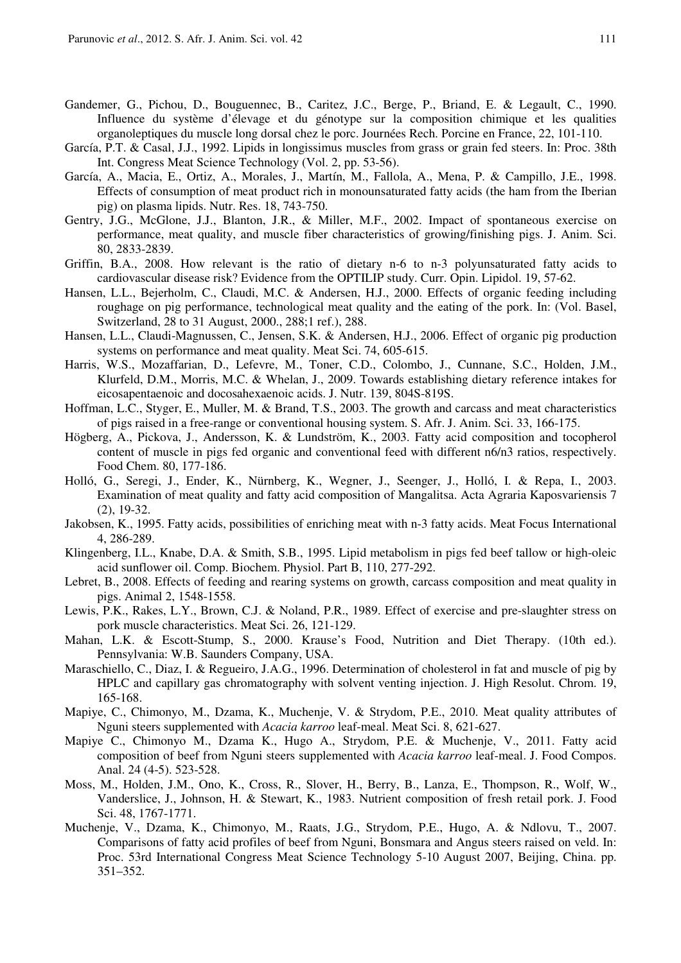- Gandemer, G., Pichou, D., Bouguennec, B., Caritez, J.C., Berge, P., Briand, E. & Legault, C., 1990. Influence du système d'élevage et du génotype sur la composition chimique et les qualities organoleptiques du muscle long dorsal chez le porc. Journées Rech. Porcine en France, 22, 101-110.
- García, P.T. & Casal, J.J., 1992. Lipids in longissimus muscles from grass or grain fed steers. In: Proc. 38th Int. Congress Meat Science Technology (Vol. 2, pp. 53-56).
- García, A., Macia, E., Ortiz, A., Morales, J., Martín, M., Fallola, A., Mena, P. & Campillo, J.E., 1998. Effects of consumption of meat product rich in monounsaturated fatty acids (the ham from the Iberian pig) on plasma lipids. Nutr. Res. 18, 743-750.
- Gentry, J.G., McGlone, J.J., Blanton, J.R., & Miller, M.F., 2002. Impact of spontaneous exercise on performance, meat quality, and muscle fiber characteristics of growing/finishing pigs. J. Anim. Sci. 80, 2833-2839.
- Griffin, B.A., 2008. How relevant is the ratio of dietary n-6 to n-3 polyunsaturated fatty acids to cardiovascular disease risk? Evidence from the OPTILIP study. Curr. Opin. Lipidol. 19, 57-62.
- Hansen, L.L., Bejerholm, C., Claudi, M.C. & Andersen, H.J., 2000. Effects of organic feeding including roughage on pig performance, technological meat quality and the eating of the pork. In: (Vol. Basel, Switzerland, 28 to 31 August, 2000., 288;1 ref.), 288.
- Hansen, L.L., Claudi-Magnussen, C., Jensen, S.K. & Andersen, H.J., 2006. Effect of organic pig production systems on performance and meat quality. Meat Sci. 74, 605-615.
- Harris, W.S., Mozaffarian, D., Lefevre, M., Toner, C.D., Colombo, J., Cunnane, S.C., Holden, J.M., Klurfeld, D.M., Morris, M.C. & Whelan, J., 2009. Towards establishing dietary reference intakes for eicosapentaenoic and docosahexaenoic acids. J. Nutr. 139, 804S-819S.
- Hoffman, L.C., Styger, E., Muller, M. & Brand, T.S., 2003. The growth and carcass and meat characteristics of pigs raised in a free-range or conventional housing system. S. Afr. J. Anim. Sci. 33, 166-175.
- Högberg, A., Pickova, J., Andersson, K. & Lundström, K., 2003. Fatty acid composition and tocopherol content of muscle in pigs fed organic and conventional feed with different n6/n3 ratios, respectively. Food Chem. 80, 177-186.
- Holló, G., Seregi, J., Ender, K., Nürnberg, K., Wegner, J., Seenger, J., Holló, I. & Repa, I., 2003. Examination of meat quality and fatty acid composition of Mangalitsa. Acta Agraria Kaposvariensis 7 (2), 19-32.
- Jakobsen, K., 1995. Fatty acids, possibilities of enriching meat with n-3 fatty acids. Meat Focus International 4, 286-289.
- Klingenberg, I.L., Knabe, D.A. & Smith, S.B., 1995. Lipid metabolism in pigs fed beef tallow or high-oleic acid sunflower oil. Comp. Biochem. Physiol. Part B, 110, 277-292.
- Lebret, B., 2008. Effects of feeding and rearing systems on growth, carcass composition and meat quality in pigs. Animal 2, 1548-1558.
- Lewis, P.K., Rakes, L.Y., Brown, C.J. & Noland, P.R., 1989. Effect of exercise and pre-slaughter stress on pork muscle characteristics. Meat Sci. 26, 121-129.
- Mahan, L.K. & Escott-Stump, S., 2000. Krause's Food, Nutrition and Diet Therapy. (10th ed.). Pennsylvania: W.B. Saunders Company, USA.
- Maraschiello, C., Diaz, I. & Regueiro, J.A.G., 1996. Determination of cholesterol in fat and muscle of pig by HPLC and capillary gas chromatography with solvent venting injection. J. High Resolut. Chrom. 19, 165-168.
- Mapiye, C., Chimonyo, M., Dzama, K., Muchenje, V. & Strydom, P.E., 2010. Meat quality attributes of Nguni steers supplemented with *Acacia karroo* leaf-meal. Meat Sci. 8, 621-627.
- Mapiye C., Chimonyo M., Dzama K., Hugo A., Strydom, P.E. & Muchenje, V., 2011. Fatty acid composition of beef from Nguni steers supplemented with *Acacia karroo* leaf-meal. J. Food Compos. Anal. 24 (4-5). 523-528.
- Moss, M., Holden, J.M., Ono, K., Cross, R., Slover, H., Berry, B., Lanza, E., Thompson, R., Wolf, W., Vanderslice, J., Johnson, H. & Stewart, K., 1983. Nutrient composition of fresh retail pork. J. Food Sci. 48, 1767-1771.
- Muchenje, V., Dzama, K., Chimonyo, M., Raats, J.G., Strydom, P.E., Hugo, A. & Ndlovu, T., 2007. Comparisons of fatty acid profiles of beef from Nguni, Bonsmara and Angus steers raised on veld. In: Proc. 53rd International Congress Meat Science Technology 5-10 August 2007, Beijing, China. pp. 351–352.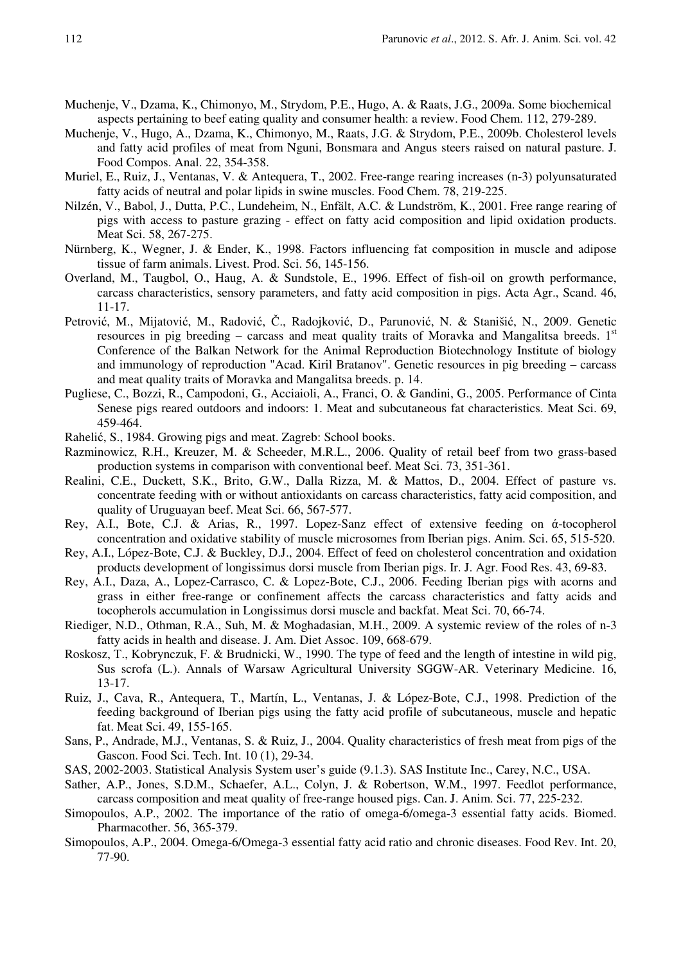- Muchenje, V., Dzama, K., Chimonyo, M., Strydom, P.E., Hugo, A. & Raats, J.G., 2009a. Some biochemical aspects pertaining to beef eating quality and consumer health: a review. Food Chem. 112, 279-289.
- Muchenje, V., Hugo, A., Dzama, K., Chimonyo, M., Raats, J.G. & Strydom, P.E., 2009b. Cholesterol levels and fatty acid profiles of meat from Nguni, Bonsmara and Angus steers raised on natural pasture. J. Food Compos. Anal. 22, 354-358.
- Muriel, E., Ruiz, J., Ventanas, V. & Antequera, T., 2002. Free-range rearing increases (n-3) polyunsaturated fatty acids of neutral and polar lipids in swine muscles. Food Chem. 78, 219-225.
- Nilzén, V., Babol, J., Dutta, P.C., Lundeheim, N., Enfält, A.C. & Lundström, K., 2001. Free range rearing of pigs with access to pasture grazing - effect on fatty acid composition and lipid oxidation products. Meat Sci. 58, 267-275.
- Nürnberg, K., Wegner, J. & Ender, K., 1998. Factors influencing fat composition in muscle and adipose tissue of farm animals. Livest. Prod. Sci. 56, 145-156.
- Overland, M., Taugbol, O., Haug, A. & Sundstole, E., 1996. Effect of fish-oil on growth performance, carcass characteristics, sensory parameters, and fatty acid composition in pigs. Acta Agr., Scand. 46, 11-17.
- Petrović, M., Mijatović, M., Radović, Č., Radojković, D., Parunović, N. & Stanišić, N., 2009. Genetic resources in pig breeding – carcass and meat quality traits of Moravka and Mangalitsa breeds. 1<sup>st</sup> Conference of the Balkan Network for the Animal Reproduction Biotechnology Institute of biology and immunology of reproduction "Acad. Kiril Bratanov". Genetic resources in pig breeding – carcass and meat quality traits of Moravka and Mangalitsa breeds. p. 14.
- Pugliese, C., Bozzi, R., Campodoni, G., Acciaioli, A., Franci, O. & Gandini, G., 2005. Performance of Cinta Senese pigs reared outdoors and indoors: 1. Meat and subcutaneous fat characteristics. Meat Sci. 69, 459-464.
- Rahelić, S., 1984. Growing pigs and meat. Zagreb: School books.
- Razminowicz, R.H., Kreuzer, M. & Scheeder, M.R.L., 2006. Quality of retail beef from two grass-based production systems in comparison with conventional beef. Meat Sci. 73, 351-361.
- Realini, C.E., Duckett, S.K., Brito, G.W., Dalla Rizza, M. & Mattos, D., 2004. Effect of pasture vs. concentrate feeding with or without antioxidants on carcass characteristics, fatty acid composition, and quality of Uruguayan beef. Meat Sci. 66, 567-577.
- Rey, A.I., Bote, C.J. & Arias, R., 1997. Lopez-Sanz effect of extensive feeding on  $\alpha$ -tocopherol concentration and oxidative stability of muscle microsomes from Iberian pigs. Anim. Sci. 65, 515-520.
- Rey, A.I., López-Bote, C.J. & Buckley, D.J., 2004. Effect of feed on cholesterol concentration and oxidation products development of longissimus dorsi muscle from Iberian pigs. Ir. J. Agr. Food Res. 43, 69-83.
- Rey, A.I., Daza, A., Lopez-Carrasco, C. & Lopez-Bote, C.J., 2006. Feeding Iberian pigs with acorns and grass in either free-range or confinement affects the carcass characteristics and fatty acids and tocopherols accumulation in Longissimus dorsi muscle and backfat. Meat Sci. 70, 66-74.
- Riediger, N.D., Othman, R.A., Suh, M. & Moghadasian, M.H., 2009. A systemic review of the roles of n-3 fatty acids in health and disease. J. Am. Diet Assoc. 109, 668-679.
- Roskosz, T., Kobrynczuk, F. & Brudnicki, W., 1990. The type of feed and the length of intestine in wild pig, Sus scrofa (L.). Annals of Warsaw Agricultural University SGGW-AR. Veterinary Medicine. 16, 13-17.
- Ruiz, J., Cava, R., Antequera, T., Martín, L., Ventanas, J. & López-Bote, C.J., 1998. Prediction of the feeding background of Iberian pigs using the fatty acid profile of subcutaneous, muscle and hepatic fat. Meat Sci. 49, 155-165.
- Sans, P., Andrade, M.J., Ventanas, S. & Ruiz, J., 2004. Quality characteristics of fresh meat from pigs of the Gascon. Food Sci. Tech. Int. 10 (1), 29-34.
- SAS, 2002-2003. Statistical Analysis System user's guide (9.1.3). SAS Institute Inc., Carey, N.C., USA.
- Sather, A.P., Jones, S.D.M., Schaefer, A.L., Colyn, J. & Robertson, W.M., 1997. Feedlot performance, carcass composition and meat quality of free-range housed pigs. Can. J. Anim. Sci. 77, 225-232.
- Simopoulos, A.P., 2002. The importance of the ratio of omega-6/omega-3 essential fatty acids. Biomed. Pharmacother. 56, 365-379.
- Simopoulos, A.P., 2004. Omega-6/Omega-3 essential fatty acid ratio and chronic diseases. Food Rev. Int. 20, 77-90.